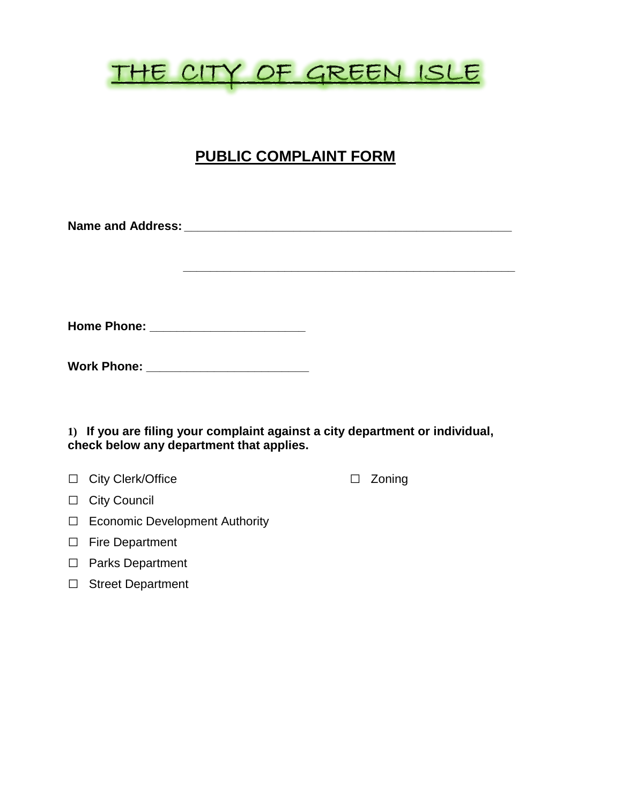## THE CITY OF GREEN ISLE

## **PUBLIC COMPLAINT FORM**

**Name and Address: \_\_\_\_\_\_\_\_\_\_\_\_\_\_\_\_\_\_\_\_\_\_\_\_\_\_\_\_\_\_\_\_\_\_\_\_\_\_\_\_\_\_\_\_\_\_\_\_**

 **\_\_\_\_\_\_\_\_\_\_\_\_\_\_\_\_\_\_\_\_\_\_\_\_\_\_\_\_\_\_\_\_\_\_\_\_\_\_\_\_\_\_\_\_\_\_\_\_\_**

**Home Phone: \_\_\_\_\_\_\_\_\_\_\_\_\_\_\_\_\_\_\_\_\_\_\_**

**Work Phone: \_\_\_\_\_\_\_\_\_\_\_\_\_\_\_\_\_\_\_\_\_\_\_\_**

**1) If you are filing your complaint against a city department or individual, check below any department that applies.** 

□ City Clerk/Office □ 20ning

- □ City Council
- □ Economic Development Authority
- □ Fire Department
- □ Parks Department
- □ Street Department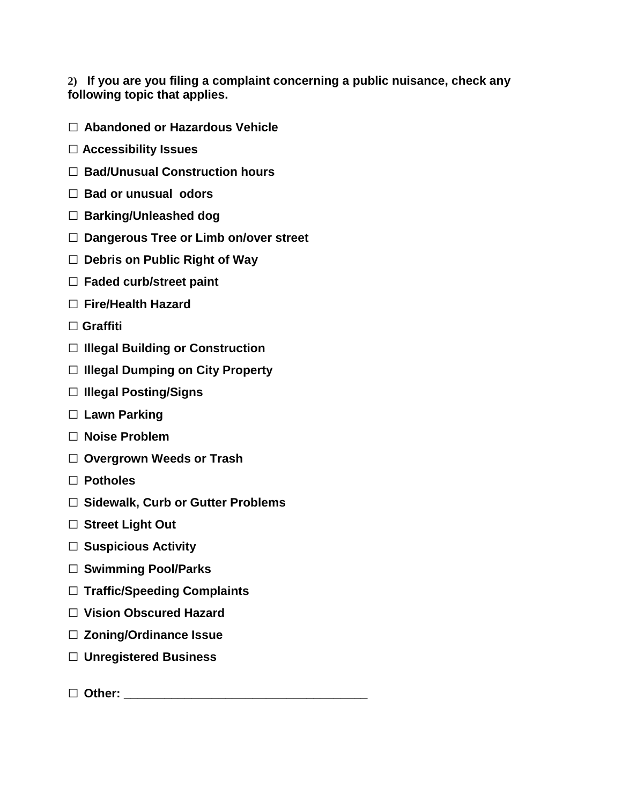**2) If you are you filing a complaint concerning a public nuisance, check any following topic that applies.** 

- **□ Abandoned or Hazardous Vehicle**
- **□ Accessibility Issues**
- **□ Bad/Unusual Construction hours**
- **□ Bad or unusual odors**
- **□ Barking/Unleashed dog**
- **□ Dangerous Tree or Limb on/over street**
- **□ Debris on Public Right of Way**
- **□ Faded curb/street paint**
- **□ Fire/Health Hazard**
- **□ Graffiti**
- **□ Illegal Building or Construction**
- **□ Illegal Dumping on City Property**
- **□ Illegal Posting/Signs**
- □ **Lawn Parking**
- **□ Noise Problem**
- **□ Overgrown Weeds or Trash**
- **□ Potholes**
- **□ Sidewalk, Curb or Gutter Problems**
- **□ Street Light Out**
- **□ Suspicious Activity**
- **□ Swimming Pool/Parks**
- **□ Traffic/Speeding Complaints**
- **□ Vision Obscured Hazard**
- **□ Zoning/Ordinance Issue**
- **□ Unregistered Business**
- □ **Other: \_\_\_\_\_\_\_\_\_\_\_\_\_\_\_\_\_\_\_\_\_\_\_\_\_\_\_\_\_\_\_\_\_\_\_\_**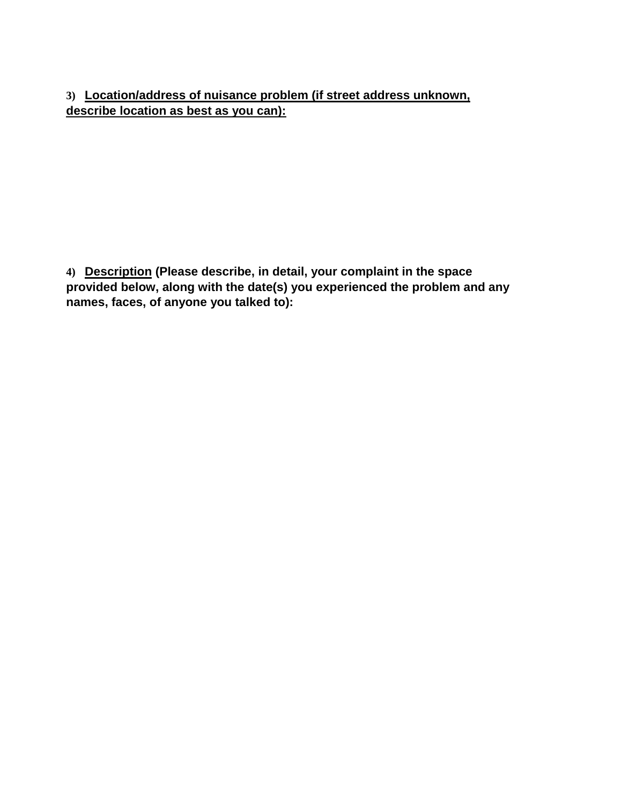**3) Location/address of nuisance problem (if street address unknown, describe location as best as you can):**

**4) Description (Please describe, in detail, your complaint in the space provided below, along with the date(s) you experienced the problem and any names, faces, of anyone you talked to):**